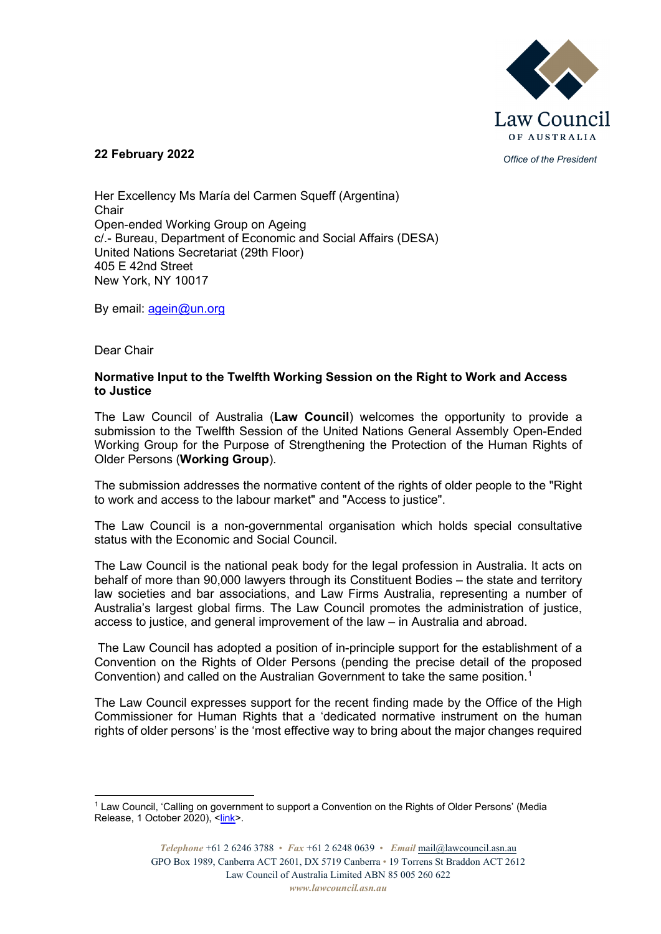

## *Office of the President* **22 February 2022**

Her Excellency Ms María del Carmen Squeff (Argentina) **Chair** Open-ended Working Group on Ageing c/.- Bureau, Department of Economic and Social Affairs (DESA) United Nations Secretariat (29th Floor) 405 E 42nd Street New York, NY 10017

By email: [agein@un.org](mailto:agein@un.org)

Dear Chair

#### **Normative Input to the Twelfth Working Session on the Right to Work and Access to Justice**

The Law Council of Australia (**Law Council**) welcomes the opportunity to provide a submission to the Twelfth Session of the United Nations General Assembly Open-Ended Working Group for the Purpose of Strengthening the Protection of the Human Rights of Older Persons (**Working Group**).

The submission addresses the normative content of the rights of older people to the "Right to work and access to the labour market" and "Access to justice".

The Law Council is a non-governmental organisation which holds special consultative status with the Economic and Social Council.

The Law Council is the national peak body for the legal profession in Australia. It acts on behalf of more than 90,000 lawyers through its Constituent Bodies – the state and territory law societies and bar associations, and Law Firms Australia, representing a number of Australia's largest global firms. The Law Council promotes the administration of justice, access to justice, and general improvement of the law – in Australia and abroad.

The Law Council has adopted a position of in-principle support for the establishment of a Convention on the Rights of Older Persons (pending the precise detail of the proposed Convention) and called on the Australian Government to take the same position.<sup>[1](#page-0-0)</sup>

The Law Council expresses support for the recent finding made by the Office of the High Commissioner for Human Rights that a 'dedicated normative instrument on the human rights of older persons' is the 'most effective way to bring about the major changes required

<span id="page-0-0"></span><sup>&</sup>lt;sup>1</sup> Law Council, 'Calling on government to support a Convention on the Rights of Older Persons' (Media Release, 1 October 2020), [<link>](https://www.lawcouncil.asn.au/publicassets/a3428318-7403-eb11-9434-005056be13b5/MR_092020_Calling%20on%20government%20to%20support%20a%20Convention%20on%20the%20Rights%20of%20Older%20Persons.pdf).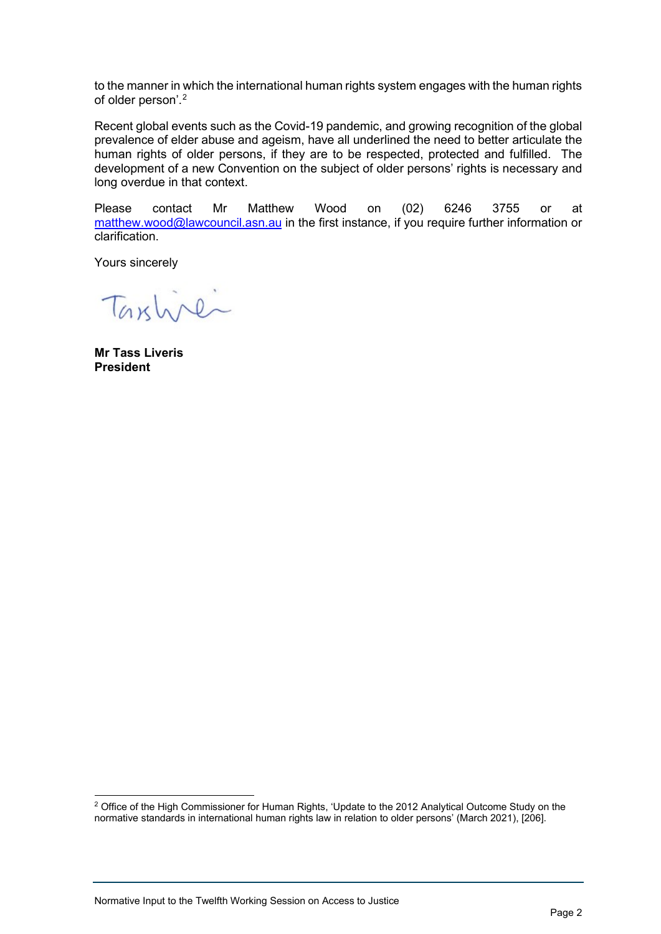to the manner in which the international human rights system engages with the human rights of older person'. [2](#page-1-0)

Recent global events such as the Covid-19 pandemic, and growing recognition of the global prevalence of elder abuse and ageism, have all underlined the need to better articulate the human rights of older persons, if they are to be respected, protected and fulfilled. The development of a new Convention on the subject of older persons' rights is necessary and long overdue in that context.

Please contact Mr Matthew Wood on (02) 6246 3755 or at [matthew.wood@lawcouncil.asn.au](mailto:matthew.wood@lawcouncil.asn.au) in the first instance, if you require further information or clarification.

Yours sincerely

Taxline

**Mr Tass Liveris President**

<span id="page-1-0"></span><sup>&</sup>lt;sup>2</sup> Office of the High Commissioner for Human Rights, 'Update to the 2012 Analytical Outcome Study on the normative standards in international human rights law in relation to older persons' (March 2021), [206].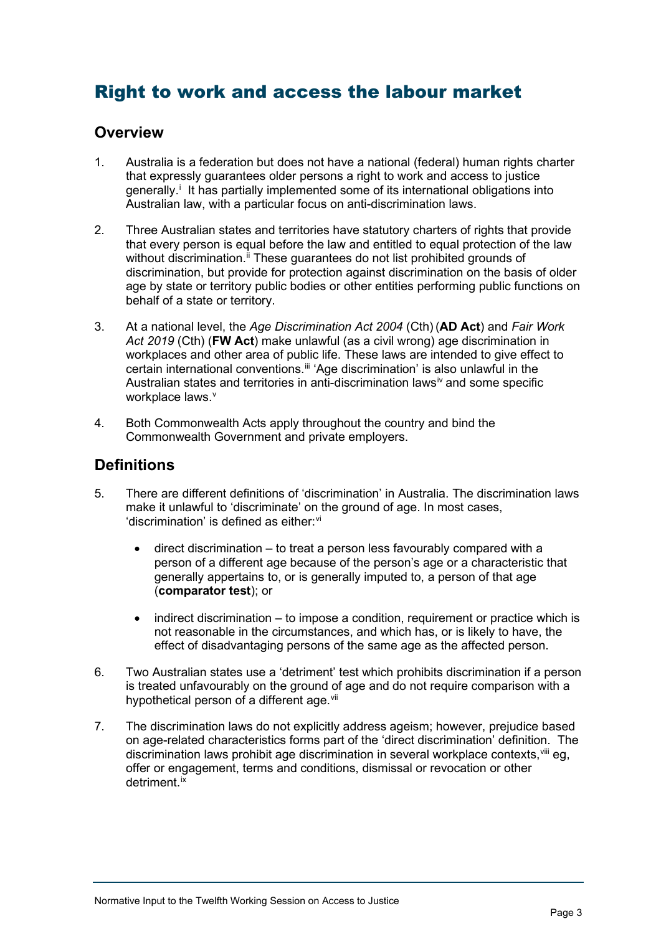# Right to work and access the labour market

# **Overview**

- 1. Australia is a federation but does not have a national (federal) human rights charter that expressly guarantees older persons a right to work and access to justice generally.<sup>[i](#page-8-0)</sup> It has partially implemented some of its international obligations into Australian law, with a particular focus on anti-discrimination laws.
- 2. Three Australian states and territories have statutory charters of rights that provide that every person is equal before the law and entitled to equal protection of the law without discrimination.<sup>[ii](#page-8-1)</sup> These guarantees do not list prohibited grounds of discrimination, but provide for protection against discrimination on the basis of older age by state or territory public bodies or other entities performing public functions on behalf of a state or territory.
- 3. At a national level, the *Age Discrimination Act 2004* (Cth) (**AD Act**) and *Fair Work Act 2019* (Cth) (**FW Act**) make unlawful (as a civil wrong) age discrimination in workplaces and other area of public life. These laws are intended to give effect to certain international conventions.<sup>[iii](#page-8-2)</sup> 'Age discrimination' is also unlawful in the Australian states and territories in anti-discrimination laws<sup>[iv](#page-8-3)</sup> and some specific workplace laws.<sup>[v](#page-8-4)</sup>
- 4. Both Commonwealth Acts apply throughout the country and bind the Commonwealth Government and private employers.

# **Definitions**

- 5. There are different definitions of 'discrimination' in Australia. The discrimination laws make it unlawful to 'discriminate' on the ground of age. In most cases, 'discrimination' is defined as either:<sup>[vi](#page-9-0)</sup>
	- direct discrimination to treat a person less favourably compared with a person of a different age because of the person's age or a characteristic that generally appertains to, or is generally imputed to, a person of that age (**comparator test**); or
	- indirect discrimination to impose a condition, requirement or practice which is not reasonable in the circumstances, and which has, or is likely to have, the effect of disadvantaging persons of the same age as the affected person.
- 6. Two Australian states use a 'detriment' test which prohibits discrimination if a person is treated unfavourably on the ground of age and do not require comparison with a hypothetical person of a different age.<sup>[vii](#page-9-1)</sup>
- 7. The discrimination laws do not explicitly address ageism; however, prejudice based on age-related characteristics forms part of the 'direct discrimination' definition. The discrimination laws prohibit age discrimination in several workplace contexts,<sup>[viii](#page-9-2)</sup> eg, offer or engagement, terms and conditions, dismissal or revocation or other detriment [ix](#page-9-3)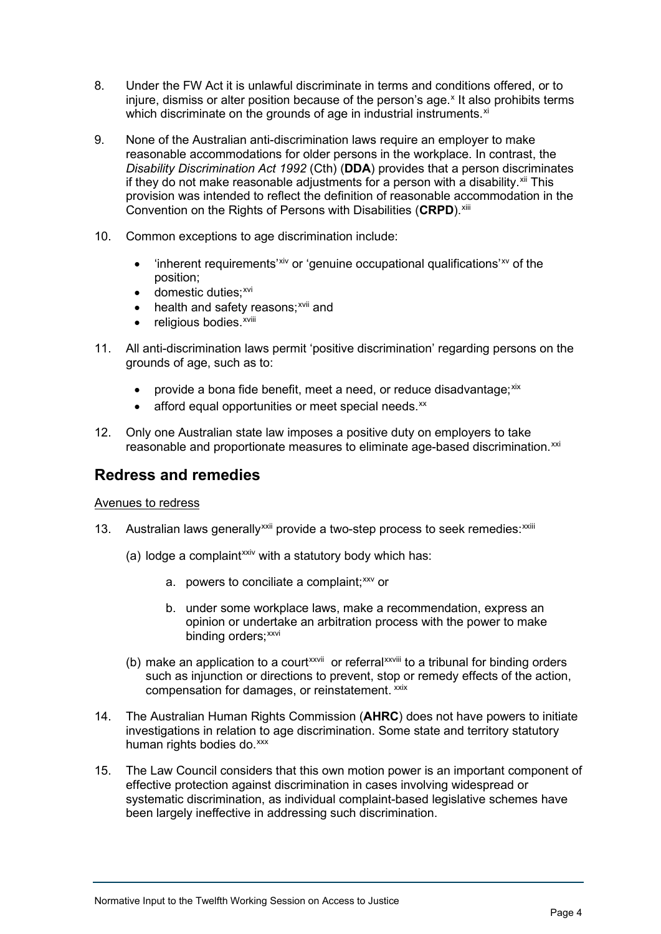- 8. Under the FW Act it is unlawful discriminate in terms and conditions offered, or to injure, dismiss or alter position because of the person's age.<sup>[x](#page-9-4)</sup> It also prohibits terms which discriminate on the grounds of age in industrial instruments.<sup>[xi](#page-9-5)</sup>
- 9. None of the Australian anti-discrimination laws require an employer to make reasonable accommodations for older persons in the workplace. In contrast, the *Disability Discrimination Act 1992* (Cth) (**DDA**) provides that a person discriminates if they do not make reasonable adjustments for a person with a disability.<sup>[xii](#page-9-6)</sup> This provision was intended to reflect the definition of reasonable accommodation in the Convention on the Rights of Persons with Disabilities (**CRPD**). [xiii](#page-9-7)
- 10. Common exceptions to age discrimination include:
	- $\bullet$  'inherent requirements'<sup>[xiv](#page-9-8)</sup> or 'genuine occupational qualifications'<sup>[xv](#page-9-9)</sup> of the position;
	- $\bullet$  domestic duties;  $xvi$
	- $\bullet$  $\bullet$  $\bullet$  health and safety reasons;  $x$ vii and
	- religious bodies. XViii
- 11. All anti-discrimination laws permit 'positive discrimination' regarding persons on the grounds of age, such as to:
	- provide a bona fide benefit, meet a need, or reduce disadvantage; $x$ ix
	- $\bullet$  afford equal opportunities or meet special needs. $^{xx}$  $^{xx}$  $^{xx}$
- 12. Only one Australian state law imposes a positive duty on employers to take reasonable and proportionate measures to eliminate age-based discrimination.<sup>[xxi](#page-9-15)</sup>

# **Redress and remedies**

## Avenues to redress

- 13. Australian laws generally<sup>[xxii](#page-9-16)</sup> prov[i](#page-9-17)de a two-step process to seek remedies: xxiii
	- (a) lodge a complaint<sup> $xxiv$ </sup> with a statutory body which has:
		- a. powers to conciliate a complaint;<sup>[xxv](#page-9-19)</sup> or
		- b. under some workplace laws, make a recommendation, express an opinion or undertake an arbitration process with the power to make binding orders;<sup>[xxvi](#page-9-20)</sup>
	- (b)make an applica[t](#page-9-22)ion to a court<sup>xxvii</sup> or referral *xxviii* to a tribunal for binding orders such as injunction or directions to prevent, stop or remedy effects of the action, compensation for damages, or reinstatement. [xxix](#page-9-23)
- 14. The Australian Human Rights Commission (**AHRC**) does not have powers to initiate investigations in relation to age discrimination. Some state and territory statutory human rights bodies do.<sup>[xxx](#page-10-0)</sup>
- 15. The Law Council considers that this own motion power is an important component of effective protection against discrimination in cases involving widespread or systematic discrimination, as individual complaint-based legislative schemes have been largely ineffective in addressing such discrimination.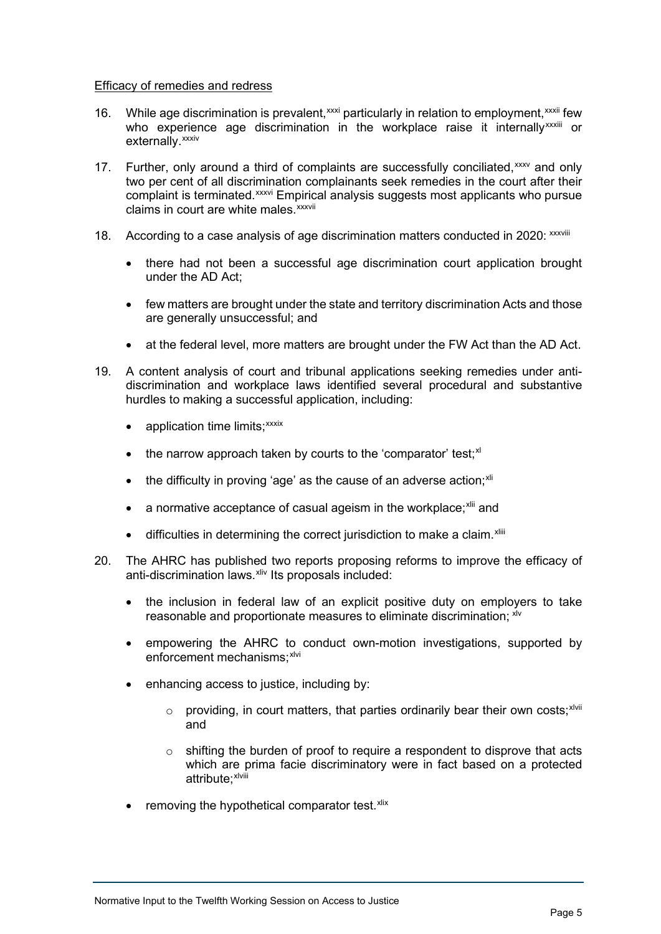#### Efficacy of remedies and redress

- 16. Wh[i](#page-10-2)le age discrimination is prevalent,  $xxxi$  particularly in relation to employment,  $xxxii$  [f](#page-10-3)ew who experie[n](#page-10-4)ce age discrimination in the workplace raise it internally<sup>xxxiii</sup> or externally.<sup>xxxiv</sup>
- 17. Further, only around a third of complaints are successfully conciliated, [xxxv](#page-10-5) and only complaint is terminated. **xxxvi Empiri[ca](#page-10-7)l analysis suggests most** applicants who pursue claims in court are white males.<sup>xxxvii</sup> two per cent of all discrimi[na](#page-10-6)tion complainants seek remedies in the court after their
- 18. According to a case analysis of age discrimination matters conducted in 2020: xxxviii
	- there had not been a successful age discrimination court application brought under the AD Act;
	- few matters are brought under the state and territory discrimination Acts and those are generally unsuccessful; and
	- at the federal level, more matters are brought under the FW Act than the AD Act.
- 19. A content analysis of court and tribunal applications seeking remedies under antidiscrimination and workplace laws identified several procedural and substantive hurdles to making a successful application, including:
	- application time limits;<sup>xxxix</sup>
	- $\bullet$  the narrow approach taken by courts to the 'comparator' test:  $x$ <sup>1</sup>
	- $\bullet$  the difficulty in proving 'age' as the cause of an adverse action;<sup>[xli](#page-10-9)</sup>
	- $\bullet$  a normative acceptance of casual ageism in the workplace; $x$ lii and
	- $\bullet$  d[i](#page-10-11)fficulties in determining the correct jurisdiction to make a claim.  $x$ liii
- 20. The AHRC has published two reports proposing reforms to improve the efficacy of anti-discrimination laws.<sup>xiv</sup> Its proposals included:
	- the inclusion in federal law of an explicit positive duty on employers to take reasonable and proportionate measures to eliminate discrimination: [xlv](#page-10-13)
	- empowering the AHRC to conduct own-motion investigations, supported by enforcement mechanisms: [xlvi](#page-10-14)
	- enhancing access to justice, including by:
		- $\circ$  $\circ$  $\circ$  providing, in court matters, that parties ordinarily bear their own costs; xivii and
		- $\circ$  shifting the burden of proof to require a respondent to disprove that acts which are [pr](#page-10-16)ima facie discriminatory were in fact based on a protected attribute;<sup>xlviii</sup>
	- removing the hypothetical comparator test. [xlix](#page-10-17)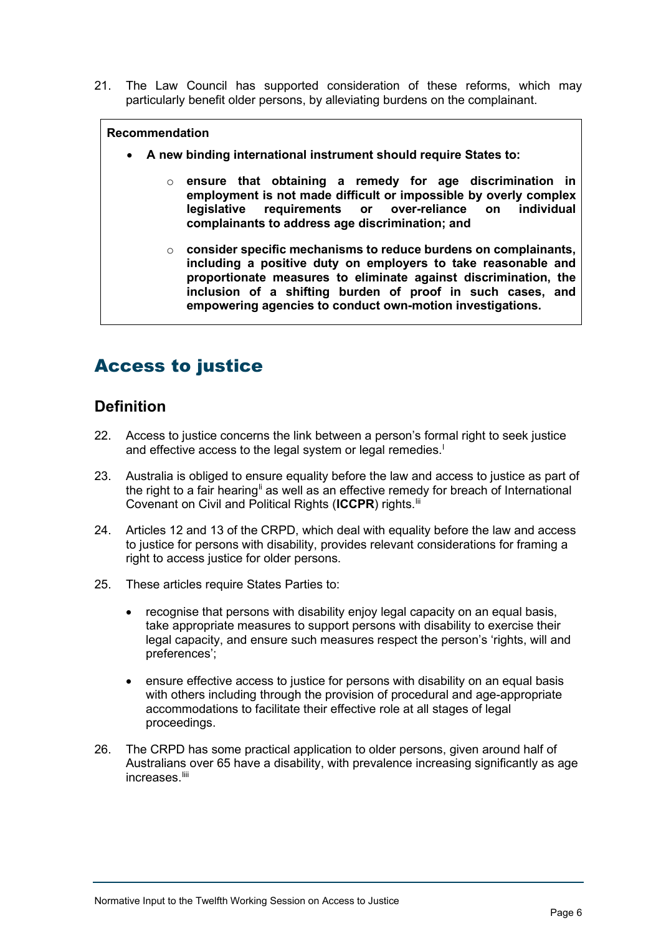21. The Law Council has supported consideration of these reforms, which may particularly benefit older persons, by alleviating burdens on the complainant.

## **Recommendation**

- **A new binding international instrument should require States to:** 
	- o **ensure that obtaining a remedy for age discrimination in employment is not made difficult or impossible by overly complex legislative requirements or over-reliance on complainants to address age discrimination; and**
	- o **consider specific mechanisms to reduce burdens on complainants, including a positive duty on employers to take reasonable and proportionate measures to eliminate against discrimination, the inclusion of a shifting burden of proof in such cases, and empowering agencies to conduct own-motion investigations.**

# Access to justice

# **Definition**

- 22. Access to justice concerns the link between a person's formal right to seek justice and effective access to the [l](#page-10-18)egal system or legal remedies.<sup>1</sup>
- 23. Australia is obliged to ensure equality before the law and access to justice as part of the right to a fair hearing<sup>[li](#page-10-19)</sup> as well as an effective remedy for breach of International Covenant on Civil and Political Rights (**ICCPR**) rights. [lii](#page-10-20)
- 24. Articles 12 and 13 of the CRPD, which deal with equality before the law and access to justice for persons with disability, provides relevant considerations for framing a right to access justice for older persons.
- 25. These articles require States Parties to:
	- recognise that persons with disability enjoy legal capacity on an equal basis, take appropriate measures to support persons with disability to exercise their legal capacity, and ensure such measures respect the person's 'rights, will and preferences';
	- ensure effective access to justice for persons with disability on an equal basis with others including through the provision of procedural and age-appropriate accommodations to facilitate their effective role at all stages of legal proceedings.
- 26. The CRPD has some practical application to older persons, given around half of Australians over 65 have a disability, with prevalence increasing significantly as age increases.<sup>[liii](#page-10-21)</sup>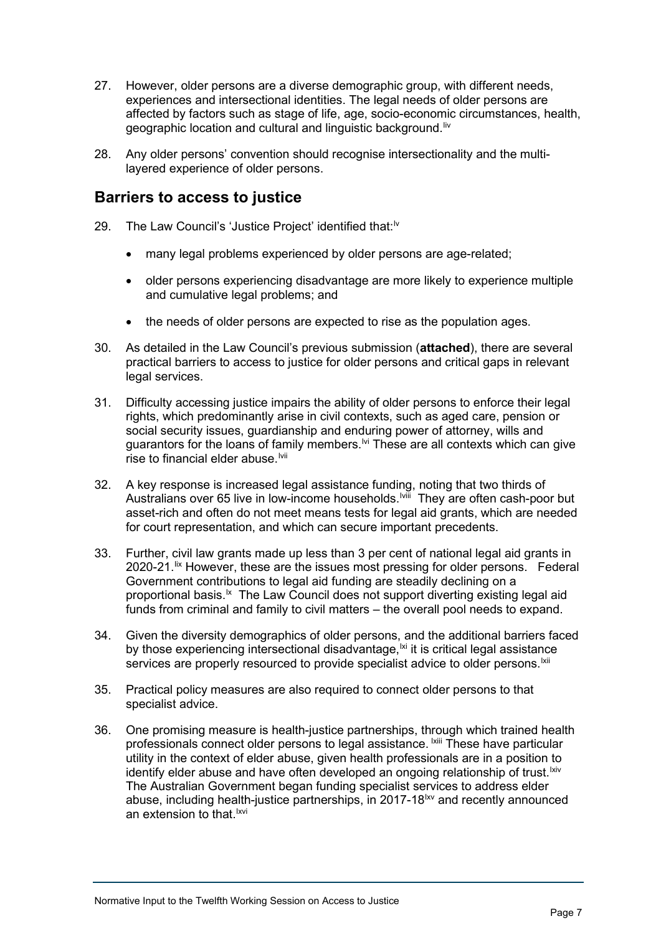- 27. However, older persons are a diverse demographic group, with different needs, experiences and intersectional identities. The legal needs of older persons are affected by factors such as stage of life, age, socio-economic circumstances, health, geographic location and cultural and linguistic background. [liv](#page-10-22)
- 28. Any older persons' convention should recognise intersectionality and the multilayered experience of older persons.

# **Barriers to access to justice**

- 29. The Law Council's 'Justice Project' identified that:<sup>[lv](#page-10-23)</sup>
	- many legal problems experienced by older persons are age-related;
	- older persons experiencing disadvantage are more likely to experience multiple and cumulative legal problems; and
	- the needs of older persons are expected to rise as the population ages.
- 30. As detailed in the Law Council's previous submission (**attached**), there are several practical barriers to access to justice for older persons and critical gaps in relevant legal services.
- 31. Difficulty accessing justice impairs the ability of older persons to enforce their legal rights, which predominantly arise in civil contexts, such as aged care, pension or social security issues, guardianship and enduring power of attorney, wills and guarantors for the loans of family members.<sup>Ivi</sup> These are all contexts which can give rise to financial elder abuse.<sup>Ivii</sup>
- 32. A key response is increased legal assistance fundin[g,](#page-10-26) noting that two thirds of Australians over 65 live in low-income households.<sup>Iviii</sup> They are often cash-poor but asset-rich and often do not meet means tests for legal aid grants, which are needed for court representation, and which can secure important precedents.
- 33. Further, civil law grants made up less than 3 per cent of national legal aid grants in 2020-21.<sup>[lix](#page-10-27)</sup> However, these are the issues most pressing for older persons. Federal Government contributions to legal aid funding are steadily declining on a proportional basis.<sup>1x</sup> The Law Council does not support diverting existing legal aid funds from criminal and family to civil matters – the overall pool needs to expand.
- 34. Given the diversity demographics of older persons, and the additional barriers faced by those experiencing intersectional disadvantage, <sup>|xi</sup> it is critical legal assistance services are properly resourced to provide specialist advice to older persons.<sup>Ixii</sup>
- 35. Practical policy measures are also required to connect older persons to that specialist advice.
- 36. One promising measure is health-justice partnerships, thr[ou](#page-10-31)gh which trained health professionals connect older persons to legal assistance. Kiii These have particular utility in the context of elder abuse, given health professionals are in a position to identify elder abuse and have often developed an ongoing relationship of trust.<sup>Ixiv</sup> The Australian Government began funding specialist services to address elder abuse, including health-justice partnerships, in 2017-18<sup>ky</sup> and recently announced an extension to that [lxvi](#page-11-2)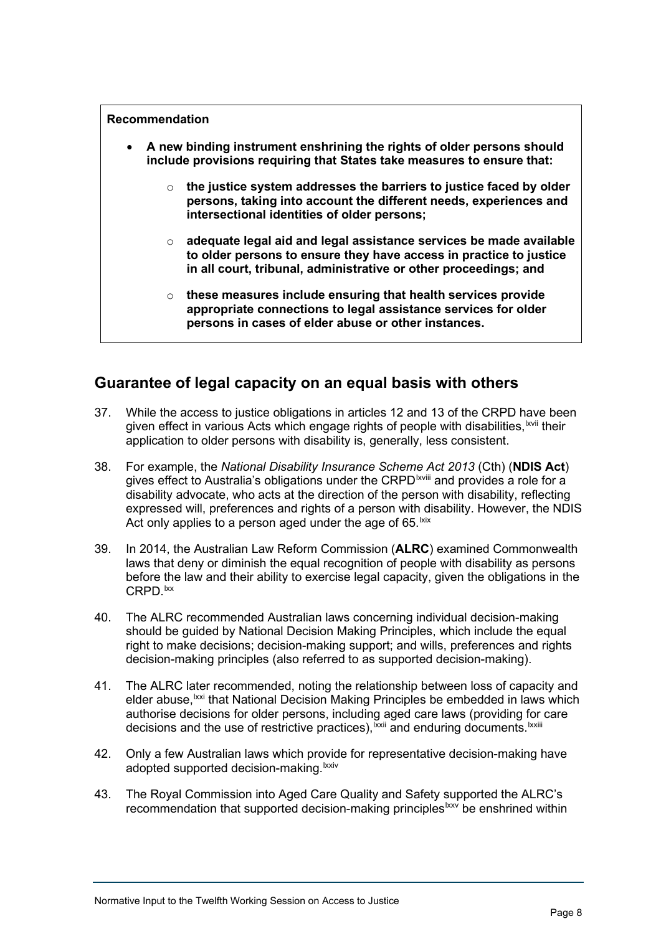#### **Recommendation**

- **A new binding instrument enshrining the rights of older persons should include provisions requiring that States take measures to ensure that:** 
	- o **the justice system addresses the barriers to justice faced by older persons, taking into account the different needs, experiences and intersectional identities of older persons;**
	- o **adequate legal aid and legal assistance services be made available to older persons to ensure they have access in practice to justice in all court, tribunal, administrative or other proceedings; and**
	- o **these measures include ensuring that health services provide appropriate connections to legal assistance services for older persons in cases of elder abuse or other instances.**

# **Guarantee of legal capacity on an equal basis with others**

- 37. While the access to justice obligations in articles 12 and 13 of the CRPD ha[ve](#page-11-3) been given effect in various Acts which engage rights of people with disabilities,<sup>lxvii</sup> their application to older persons with disability is, generally, less consistent.
- 38. For example, the *National Disability Insurance Scheme [A](#page-11-4)ct 2013* (Cth) (**NDIS Act**) gives effect to Australia's obligations under the CRPD<sup>Ixviii</sup> and provides a role for a disability advocate, who acts at the direction of the person with disability, reflecting expressed will, preferences and rights of a person with disability. However, the NDIS Act only applies to a person aged under the age of 65. kix
- 39. In 2014, the Australian Law Reform Commission (**ALRC**) examined Commonwealth laws that deny or diminish the equal recognition of people with disability as persons before the law and their ability to exercise legal capacity, given the obligations in the CRPD.<sup>Ixx</sup>
- 40. The ALRC recommended Australian laws concerning individual decision-making should be guided by National Decision Making Principles, which include the equal right to make decisions; decision-making support; and wills, preferences and rights decision-making principles (also referred to as supported decision-making).
- 41. The ALRC later recommended, noting the relationship between loss of capacity and elder abuse,<sup>[lxxi](#page-11-7)</sup> that National Decision Making Principles be embedded in laws which decisions and the use of restrictive practices),<sup>lxxii</sup> and enduring documents.<sup>lxxiii</sup> authorise decisions for older persons, including [a](#page-11-8)ged care laws (providing for [c](#page-11-9)are
- 42. Only a few Australian laws which provi[de](#page-11-10) for representative decision-making have adopted supported decision-making.<sup>lxxiv</sup>
- 43. The Royal Commission into Aged Care Quality and Safety supported the ALRC's recommendation that supported decision-making principles<sup>[lxxv](#page-11-11)</sup> be enshrined within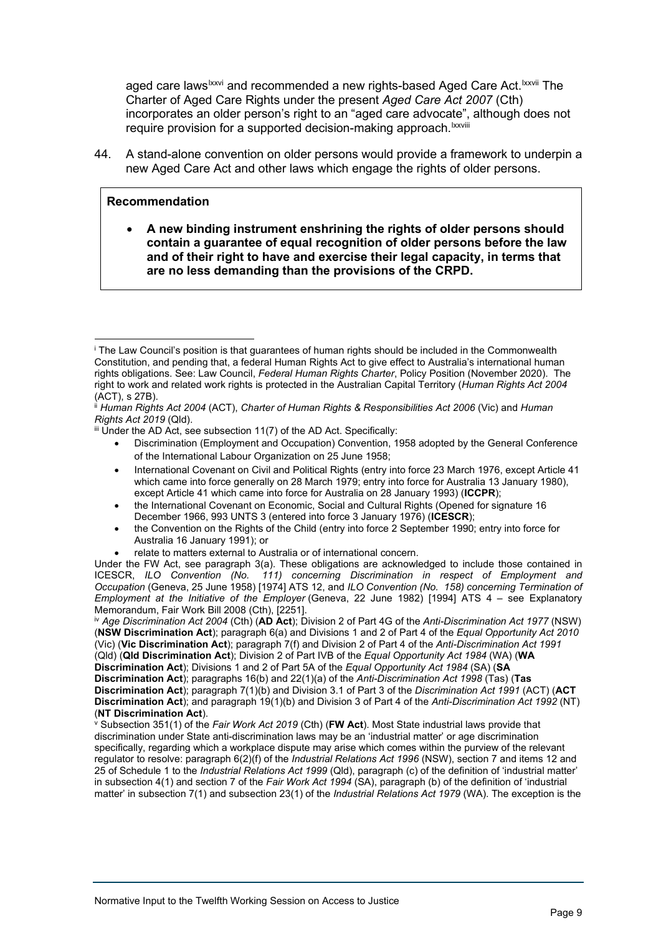aged care laws<sup>lxxv[i](#page-11-12)</sup> and recommended a new rights-based Aged Care Act.<sup>lxxvii</sup> [T](#page-11-13)he require provision for a supported decision-making approach.<sup>lxxviii</sup> Charter of Aged Care Rights under the present *Aged Care Act 2007* (Cth) incorporates an older person's right to an "aged care advocate"[, a](#page-11-14)lthough does not

44. A stand-alone convention on older persons would provide a framework to underpin a new Aged Care Act and other laws which engage the rights of older persons.

#### **Recommendation**

• **A new binding instrument enshrining the rights of older persons should contain a guarantee of equal recognition of older persons before the law and of their right to have and exercise their legal capacity, in terms that are no less demanding than the provisions of the CRPD.** 

- Discrimination (Employment and Occupation) Convention, 1958 adopted by the General Conference of the International Labour Organization on 25 June 1958;
- International Covenant on Civil and Political Rights (entry into force 23 March 1976, except Article 41 which came into force generally on 28 March 1979; entry into force for Australia 13 January 1980), except Article 41 which came into force for Australia on 28 January 1993) (**ICCPR**);
- the International Covenant on Economic, Social and Cultural Rights (Opened for signature 16 December 1966, 993 UNTS 3 (entered into force 3 January 1976) (**ICESCR**);
- the Convention on the Rights of the Child (entry into force 2 September 1990; entry into force for Australia 16 January 1991); or
- relate to matters external to Australia or of international concern.

Under the FW Act, see paragraph 3(a). These obligations are acknowledged to include those contained in ICESCR, *ILO Convention (No. 111) concerning Discrimination in respect of Employment and Occupation* (Geneva, 25 June 1958) [1974] ATS 12, and *ILO Convention (No. 158) concerning Termination of Employment at the Initiative of the Employer* (Geneva, 22 June 1982) [1994] ATS 4 – see Explanatory Memorandum, Fair Work Bill 2008 (Cth), [2251].

<span id="page-8-3"></span>iv *Age Discrimination Act 2004* (Cth) (**AD Act**); Division 2 of Part 4G of the *Anti-Discrimination Act 1977* (NSW) (**NSW Discrimination Act**); paragraph 6(a) and Divisions 1 and 2 of Part 4 of the *Equal Opportunity Act 2010* (Vic) (**Vic Discrimination Act**); paragraph 7(f) and Division 2 of Part 4 of the *Anti-Discrimination Act 1991* (Qld) (**Qld Discrimination Act**); Division 2 of Part IVB of the *Equal Opportunity Act 1984* (WA) (**WA Discrimination Act**); Divisions 1 and 2 of Part 5A of the *Equal Opportunity Act 1984* (SA) (**SA Discrimination Act**); paragraphs 16(b) and 22(1)(a) of the *Anti-Discrimination Act 1998* (Tas) (**Tas** 

**Discrimination Act**); paragraph 7(1)(b) and Division 3.1 of Part 3 of the *Discrimination Act 1991* (ACT) (**ACT Discrimination Act**); and paragraph 19(1)(b) and Division 3 of Part 4 of the *Anti-Discrimination Act 1992* (NT)

<span id="page-8-4"></span><sup> $\dot{\mathbf{v}}$ </sup> Subsection 351(1) of the *Fair Work Act 2019* (Cth) (FW Act). Most State industrial laws provide that discrimination under State anti-discrimination laws may be an 'industrial matter' or age discrimination specifically, regarding which a workplace dispute may arise which comes within the purview of the relevant regulator to resolve: paragraph 6(2)(f) of the *Industrial Relations Act 1996* (NSW), section 7 and items 12 and 25 of Schedule 1 to the *Industrial Relations Act 1999* (Qld), paragraph (c) of the definition of 'industrial matter' in subsection 4(1) and section 7 of the *Fair Work Act 1994* (SA), paragraph (b) of the definition of 'industrial matter' in subsection 7(1) and subsection 23(1) of the *Industrial Relations Act 1979* (WA). The exception is the

<span id="page-8-0"></span><sup>i</sup> The Law Council's position is that guarantees of human rights should be included in the Commonwealth Constitution, and pending that, a federal Human Rights Act to give effect to Australia's international human rights obligations. See: Law Council, *Federal Human Rights Charter*, Policy Position (November 2020). The right to work and related work rights is protected in the Australian Capital Territory (*Human Rights Act 2004*  (ACT), s 27B).

<span id="page-8-1"></span>ii *Human Rights Act 2004* (ACT), *Charter of Human Rights & Responsibilities Act 2006* (Vic) and *Human Rights Act 2019* (Qld).

<span id="page-8-2"></span>iii Under the AD Act, see subsection 11(7) of the AD Act. Specifically: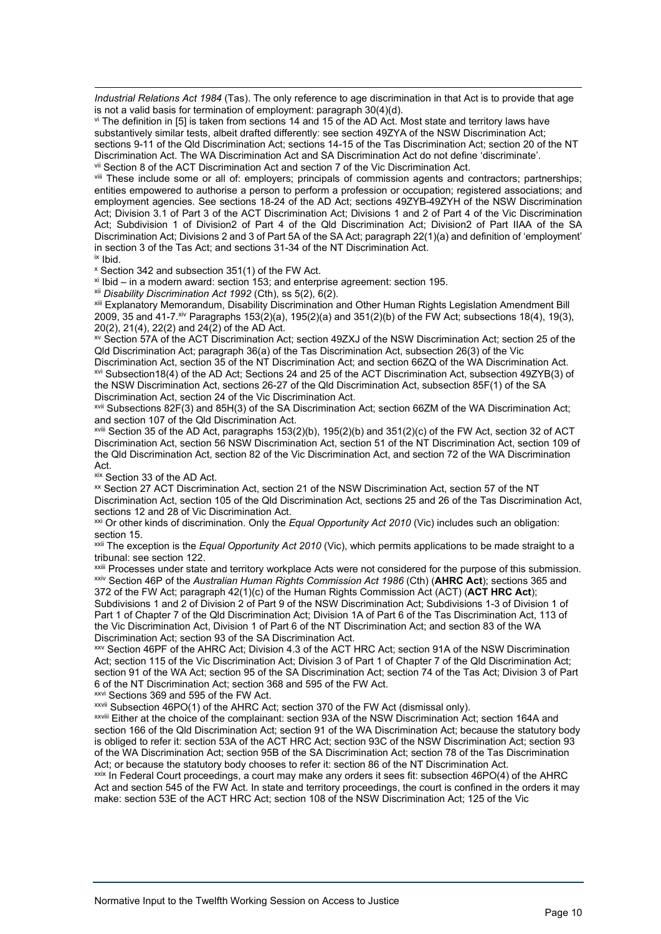*Industrial Relations Act 1984* (Tas). The only reference to age discrimination in that Act is to provide that age is not a valid basis for termination of employment: paragraph 30(4)(d).

<span id="page-9-0"></span>vi The definition in [5] is taken from sections 14 and 15 of the AD Act. Most state and territory laws have substantively similar tests, albeit drafted differently: see section 49ZYA of the NSW Discrimination Act; sections 9-11 of the Qld Discrimination Act; sections 14-15 of the Tas Discrimination Act; section 20 of the NT<br>Discrimination Act. The WA Discrimination Act and SA Discrimination Act do not define 'discriminate'. vii Section 8 of the ACT Discrimination Act and section 7 of the Vic Discrimination Act.

<span id="page-9-2"></span><span id="page-9-1"></span>viii These include some or all of: employers; principals of commission agents and contractors; partnerships; entities empowered to authorise a person to perform a profession or occupation; registered associations; and employment agencies. See sections 18-24 of the AD Act; sections 49ZYB-49ZYH of the NSW Discrimination Act; Division 3.1 of Part 3 of the ACT Discrimination Act; Divisions 1 and 2 of Part 4 of the Vic Discrimination Act; Subdivision 1 of Division2 of Part 4 of the Qld Discrimination Act; Division2 of Part IIAA of the SA Discrimination Act; Divisions 2 and 3 of Part 5A of the SA Act; paragraph 22(1)(a) and definition of 'employment' in section 3 of the Tas Act; and sections 31-34 of the NT Discrimination Act. ix Ibid.

<span id="page-9-4"></span><span id="page-9-3"></span><sup>x</sup> Section 342 and subsection 351(1) of the FW Act.

<span id="page-9-5"></span> $x$ <sup>i</sup> Ibid – in a modern award: section 153; and enterprise agreement: section 195.

xii *Disability Discrimination Act 1992* (Cth), ss 5(2), 6(2).

<span id="page-9-7"></span><span id="page-9-6"></span>xiii Explanatory Memorandum, Disability Discrimination and Other Human Rights Legislation Amendment Bill 2009, 35 and 41-7.xiv Paragraphs 153(2)(a), 195(2)(a) and 351(2)(b) of the FW Act; subsections 18(4), 19(3), 20(2), 21(4), 22(2) and 24(2) of the AD Act.

<span id="page-9-8"></span>xv Section 57A of the ACT Discrimination Act; section 49ZXJ of the NSW Discrimination Act; section 25 of the Qld Discrimination Act; paragraph 36(a) of the Tas Discrimination Act, subsection 26(3) of the Vic

<span id="page-9-9"></span>Discrimination Act, section 35 of the NT Discrimination Act; and section 66ZQ of the WA Discrimination Act. xvi Subsection18(4) of the AD Act; Sections 24 and 25 of the ACT Discrimination Act, subsection 49ZYB(3) of the NSW Discrimination Act, sections 26-27 of the Qld Discrimination Act, subsection 85F(1) of the SA Discrimination Act, section 24 of the Vic Discrimination Act.

<span id="page-9-10"></span>xvii Subsections 82F(3) and 85H(3) of the SA Discrimination Act; section 66ZM of the WA Discrimination Act; and section 107 of the Qld Discrimination Act.

<span id="page-9-12"></span><span id="page-9-11"></span>xviii Section 35 of the AD Act, paragraphs 153(2)(b), 195(2)(b) and 351(2)(c) of the FW Act, section 32 of ACT Discrimination Act, section 56 NSW Discrimination Act, section 51 of the NT Discrimination Act, section 109 of the Qld Discrimination Act, section 82 of the Vic Discrimination Act, and section 72 of the WA Discrimination Act.

xix Section 33 of the AD Act.

<span id="page-9-14"></span><span id="page-9-13"></span>xx Section 27 ACT Discrimination Act, section 21 of the NSW Discrimination Act, section 57 of the NT Discrimination Act, section 105 of the Qld Discrimination Act, sections 25 and 26 of the Tas Discrimination Act, sections 12 and 28 of Vic Discrimination Act.

xxi Or other kinds of discrimination. Only the *Equal Opportunity Act 2010* (Vic) includes such an obligation: section 15.

<span id="page-9-15"></span>xxii The exception is the *Equal Opportunity Act 2010* (Vic), which permits applications to be made straight to a tribunal: see section 122.

<span id="page-9-17"></span><span id="page-9-16"></span>xxiii Processes under state and territory workplace Acts were not considered for the purpose of this submission. xxiv Section 46P of the *Australian Human Rights Commission Act 1986* (Cth) (**AHRC Act**); sections 365 and 372 of the FW Act; paragraph 42(1)(c) of the Human Rights Commission Act (ACT) (**ACT HRC Act**);

<span id="page-9-18"></span>Subdivisions 1 and 2 of Division 2 of Part 9 of the NSW Discrimination Act; Subdivisions 1-3 of Division 1 of Part 1 of Chapter 7 of the Qld Discrimination Act; Division 1A of Part 6 of the Tas Discrimination Act, 113 of the Vic Discrimination Act, Division 1 of Part 6 of the NT Discrimination Act; and section 83 of the WA Discrimination Act; section 93 of the SA Discrimination Act.

<span id="page-9-19"></span>xxv Section 46PF of the AHRC Act; Division 4.3 of the ACT HRC Act; section 91A of the NSW Discrimination Act; section 115 of the Vic Discrimination Act; Division 3 of Part 1 of Chapter 7 of the Qld Discrimination Act; section 91 of the WA Act; section 95 of the SA Discrimination Act; section 74 of the Tas Act; Division 3 of Part 6 of the NT Discrimination Act; section 368 and 595 of the FW Act.

xxvi Sections 369 and 595 of the FW Act.

<span id="page-9-20"></span>xxvii Subsection 46PO(1) of the AHRC Act; section 370 of the FW Act (dismissal only).

<span id="page-9-22"></span><span id="page-9-21"></span>xxviii Either at the choice of the complainant: section 93A of the NSW Discrimination Act; section 164A and section 166 of the Qld Discrimination Act; section 91 of the WA Discrimination Act; because the statutory body is obliged to refer it: section 53A of the ACT HRC Act; section 93C of the NSW Discrimination Act; section 93 of the WA Discrimination Act; section 95B of the SA Discrimination Act; section 78 of the Tas Discrimination Act; or because the statutory body chooses to refer it: section 86 of the NT Discrimination Act.

<span id="page-9-23"></span> $x_{xx}$  In Federal Court proceedings, a court may make any orders it sees fit: subsection 46PO(4) of the AHRC Act and section 545 of the FW Act. In state and territory proceedings, the court is confined in the orders it may make: section 53E of the ACT HRC Act; section 108 of the NSW Discrimination Act; 125 of the Vic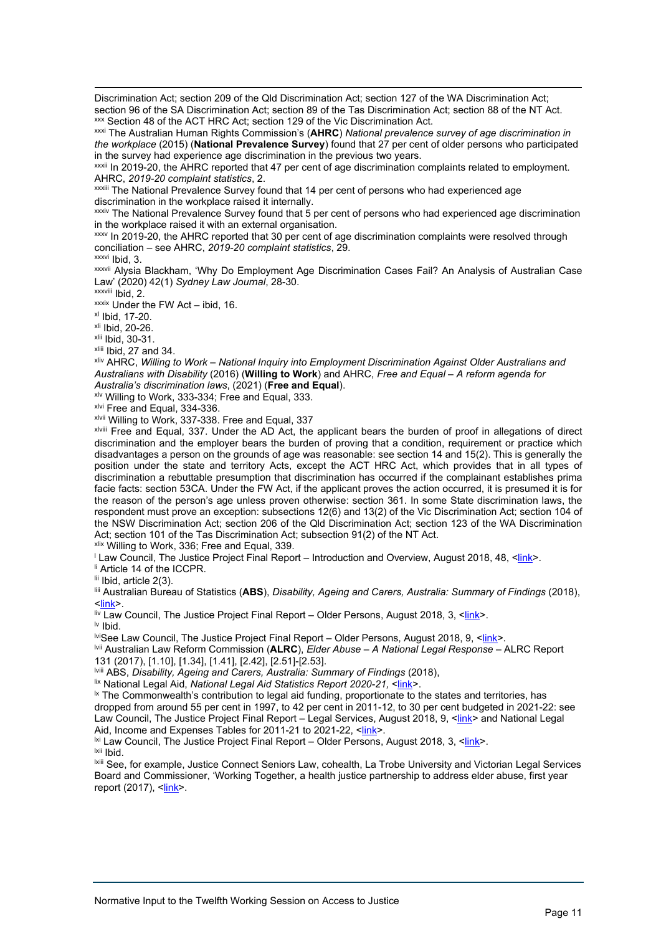Discrimination Act; section 209 of the Qld Discrimination Act; section 127 of the WA Discrimination Act; section 96 of the SA Discrimination Act; section 89 of the Tas Discrimination Act; section 88 of the NT Act. xxx Section 48 of the ACT HRC Act; section 129 of the Vic Discrimination Act.

<span id="page-10-1"></span><span id="page-10-0"></span>xxxi The Australian Human Rights Commission's (**AHRC**) *National prevalence survey of age discrimination in the workplace* (2015) (**National Prevalence Survey**) found that 27 per cent of older persons who participated in the survey had experience age discrimination in the previous two years.

xxxii In 2019-20, the AHRC reported that 47 per cent of age discrimination complaints related to employment.<br>AHRC, 2019-20 complaint statistics, 2.

<span id="page-10-2"></span>AHRC, *2019-20 complaint statistics*, 2. xxxiii The National Prevalence Survey found that 14 per cent of persons who had experienced age discrimination in the workplace raised it internally.

<span id="page-10-3"></span>xxxiv The National Prevalence Survey found that 5 per cent of persons who had experienced age discrimination in the workplace raised it with an external organisation.

<span id="page-10-5"></span><span id="page-10-4"></span>xxxv In 2019-20, the AHRC reported that 30 per cent of age discrimination complaints were resolved through conciliation – see AHRC, *2019-20 complaint statistics*, 29.

xxxvi Ibid, 3.

<span id="page-10-7"></span><span id="page-10-6"></span>xxxvii Alysia Blackham, 'Why Do Employment Age Discrimination Cases Fail? An Analysis of Australian Case Law' (2020) 42(1) *Sydney Law Journal*, 28-30.

 $\frac{x}{x}$  Ibid, 17-20.<br>  $\frac{x}{1}$  Ibid, 17-20.<br>  $\frac{x}{1}$  Ibid, 20-26.

<span id="page-10-9"></span><span id="page-10-8"></span><sup>xlii</sup> Ibid, 30-31.<br><sup>xliii</sup> Ibid, 27 and 34.

<span id="page-10-12"></span><span id="page-10-11"></span><span id="page-10-10"></span><sup>xliv</sup> AHRC, *Willing to Work – National Inquiry into Employment Discrimination Against Older Australians and Australians with Disability* (2016) (**Willing to Work**) and AHRC, *Free and Equal – A reform agenda for* 

*Australia's discrimination laws*, (2021) (**Free and Equal**). xlv Willing to Work, 333-334; Free and Equal, 333.

<span id="page-10-13"></span>xlvi Free and Equal, 334-336.

<span id="page-10-14"></span>xlvii Willing to Work, 337-338. Free and Equal, 337

<span id="page-10-16"></span><span id="page-10-15"></span>xlviii Free and Equal, 337. Under the AD Act, the applicant bears the burden of proof in allegations of direct discrimination and the employer bears the burden of proving that a condition, requirement or practice which disadvantages a person on the grounds of age was reasonable: see section 14 and 15(2). This is generally the position under the state and territory Acts, except the ACT HRC Act, which provides that in all types of discrimination a rebuttable presumption that discrimination has occurred if the complainant establishes prima facie facts: section 53CA. Under the FW Act, if the applicant proves the action occurred, it is presumed it is for the reason of the person's age unless proven otherwise: section 361. In some State discrimination laws, the respondent must prove an exception: subsections 12(6) and 13(2) of the Vic Discrimination Act; section 104 of the NSW Discrimination Act; section 206 of the Qld Discrimination Act; section 123 of the WA Discrimination Act; section 101 of the Tas Discrimination Act; subsection 91(2) of the NT Act.

xlix Willing to Work, 336; Free and Equal, 339.

<span id="page-10-18"></span><span id="page-10-17"></span><sup>l</sup> Law Council, The Justice Project Final Report – Introduction and Overview, August 2018, 48, <<u>link</u>>.<br><sup>li</sup> Article 14 of the ICCPR.

<span id="page-10-19"></span>lii Ibid, article 2(3).

<span id="page-10-20"></span>liii Australian Bureau of Statistics (**ABS**), *Disability, Ageing and Carers, Australia: Summary of Findings* (2018), [<link>](https://www.abs.gov.au/statistics/health/disability/disability-ageing-and-carers-australia-summary-findings/latest-release#:%7E:text=Disability%20prevalence%20over%20time&text=one%2Dquarter%20(26.9%25)%20of,had%20disability%2C%20down%20from%2012.1%25).

<span id="page-10-21"></span>liv Law Council, The Justice Project Final Report – Older Persons, August 2018, 3, [<link>](https://www.lawcouncil.asn.au/files/web-pdf/Justice%20Project/Final%20Report/Older%20Persons%20%28Part%201%29.pdf).

<span id="page-10-22"></span>lv Ibid.

lviSee Law Council, The Justice Project Final Report – Older Persons, August 2018, 9, [<link>](https://www.lawcouncil.asn.au/files/web-pdf/Justice%20Project/Final%20Report/Older%20Persons%20%28Part%201%29.pdf).

<span id="page-10-24"></span><span id="page-10-23"></span>lvii Australian Law Reform Commission (**ALRC**), *Elder Abuse – A National Legal Response* – ALRC Report 131 (2017), [1.10], [1.34], [1.41], [2.42], [2.51]-[2.53].<br><sup>Iviii</sup> ABS, *Disability, Ageing and Carers, Australia: Summary of Findings (2018)*.

<span id="page-10-25"></span>

<span id="page-10-26"></span>lix National Legal Aid, National Legal Aid Statistics Report 2020-21, [<link>](https://nla.legalaid.nsw.gov.au/nlareports/reportviewer.aspx?reportname=AgeIndicator)

<span id="page-10-28"></span><span id="page-10-27"></span><sup>1x</sup> The Commonwealth's contribution to legal aid funding, proportionate to the states and territories, has dropped from around 55 per cent in 1997, to 42 per cent in 2011-12, to 30 per cent budgeted in 2021-22: see Law Council, The Justice Project Final Report – Legal Services, August 2018, 9, [<link>](https://www.lawcouncil.asn.au/files/web-pdf/Justice%20Project/Final%20Report/18%20-%202018%2009%20-%20Final%20-%20Legal%20Services%20%28Part%202%29.pdf) and National Legal Aid, Income and Expenses Tables for 2011-21 to 2021-22, [<link>](https://www.nationallegalaid.org/resources/finance-2/).

<span id="page-10-29"></span> $\frac{\text{bx}}{\text{b}}$  Law Council, The Justice Project Final Report – Older Persons, August 2018, 3, <<u>link</u>>.

<span id="page-10-31"></span><span id="page-10-30"></span><sup>Ixiii</sup> See, for example, Justice Connect Seniors Law, cohealth, La Trobe University and Victorian Legal Services Board and Commissioner, 'Working Together, a health justice partnership to address elder abuse, first year report (2017), [<link>](https://justiceconnect.org.au/wp-content/uploads/2018/08/HJP_impact-report_year-2_web_FINAL.pdf).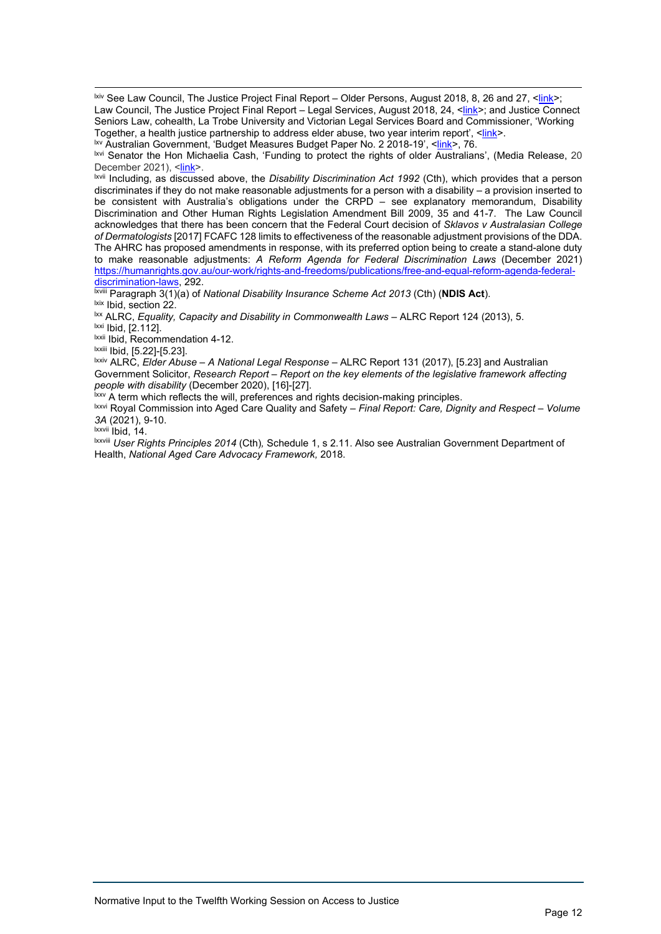<span id="page-11-0"></span><sup>Ixiv</sup> See Law Council, The Justice Project Final Report – Older Persons, August 2018, 8, 26 and 27, [<link>](https://www.lawcouncil.asn.au/files/web-pdf/Justice%20Project/Final%20Report/Older%20Persons%20%28Part%201%29.pdf); Law Council, The Justice Project Final Report – Legal Services, August 2018, 24, [<link>](https://www.lawcouncil.asn.au/files/web-pdf/Justice%20Project/Final%20Report/18%20-%202018%2009%20-%20Final%20-%20Legal%20Services%20%28Part%202%29.pdf); and Justice Connect Seniors Law, cohealth, La Trobe University and Victorian Legal Services Board and Commissioner, 'Working Together, a health justice partnership to address elder abuse, two year interim report', [<link>](https://justiceconnect.org.au/wp-content/uploads/2018/08/HJP_first-year-report_web.pdf).

<span id="page-11-1"></span>lxv Australian Government, 'Budget Measures Budget Paper No. 2 2018-19', [<link>](https://archive.budget.gov.au/2018-19/bp2/bp2.pdf), 76.

<span id="page-11-2"></span>lxvi Senator the Hon Michaelia Cash, 'Funding to protect the rights of older Australians', (Media Release, 20 December 2021), <<u>link</u>>.<br><sup>lxvii</sup> Including, as discussed above, the *Disability Discrimination Act 1992 (*Cth), which provides that a person

<span id="page-11-3"></span>discriminates if they do not make reasonable adjustments for a person with a disability – a provision inserted to be consistent with Australia's obligations under the CRPD – see explanatory memorandum, Disability Discrimination and Other Human Rights Legislation Amendment Bill 2009, 35 and 41-7. The Law Council acknowledges that there has been concern that the Federal Court decision of *Sklavos v Australasian College of Dermatologists* [2017] FCAFC 128 limits to effectiveness of the reasonable adjustment provisions of the DDA. The AHRC has proposed amendments in response, with its preferred option being to create a stand-alone duty to make reasonable adjustments: *A Reform Agenda for Federal Discrimination Laws* (December 2021) [https://humanrights.gov.au/our-work/rights-and-freedoms/publications/free-and-equal-reform-agenda-federal-](https://humanrights.gov.au/our-work/rights-and-freedoms/publications/free-and-equal-reform-agenda-federal-discrimination-laws)

<span id="page-11-4"></span>[discrimination-laws,](https://humanrights.gov.au/our-work/rights-and-freedoms/publications/free-and-equal-reform-agenda-federal-discrimination-laws) 292. lxviii Paragraph 3(1)(a) of *National Disability Insurance Scheme Act 2013* (Cth) (**NDIS Act**).

<span id="page-11-6"></span><span id="page-11-5"></span>lxx ALRC, *Equality, Capacity and Disability in Commonwealth Laws - ALRC Report 124 (2013)*, 5. lxxi Ibid, [2.112].

<span id="page-11-8"></span><span id="page-11-7"></span>lxxii Ibid, Recommendation 4-12.

<span id="page-11-9"></span>lxxiii Ibid, [5.22]-[5.23].

<span id="page-11-10"></span>lxxiv ALRC, *Elder Abuse – A National Legal Response* – ALRC Report 131 (2017), [5.23] and Australian Government Solicitor, *Research Report – Report on the key elements of the legislative framework affecting people with disability* (December 2020), [16]-[27].

<span id="page-11-11"></span><sup>1xxv</sup> A term which reflects the will, preferences and rights decision-making principles.

<span id="page-11-12"></span>lxxvi Royal Commission into Aged Care Quality and Safety – *Final Report: Care, Dignity and Respect – Volume* 

 $\overrightarrow{ax}$ <sup>vii</sup> Ibid, 14.

<span id="page-11-14"></span><span id="page-11-13"></span>lxxviii *User Rights Principles 2014* (Cth)*,* Schedule 1, s 2.11. Also see Australian Government Department of Health, *National Aged Care Advocacy Framework,* 2018.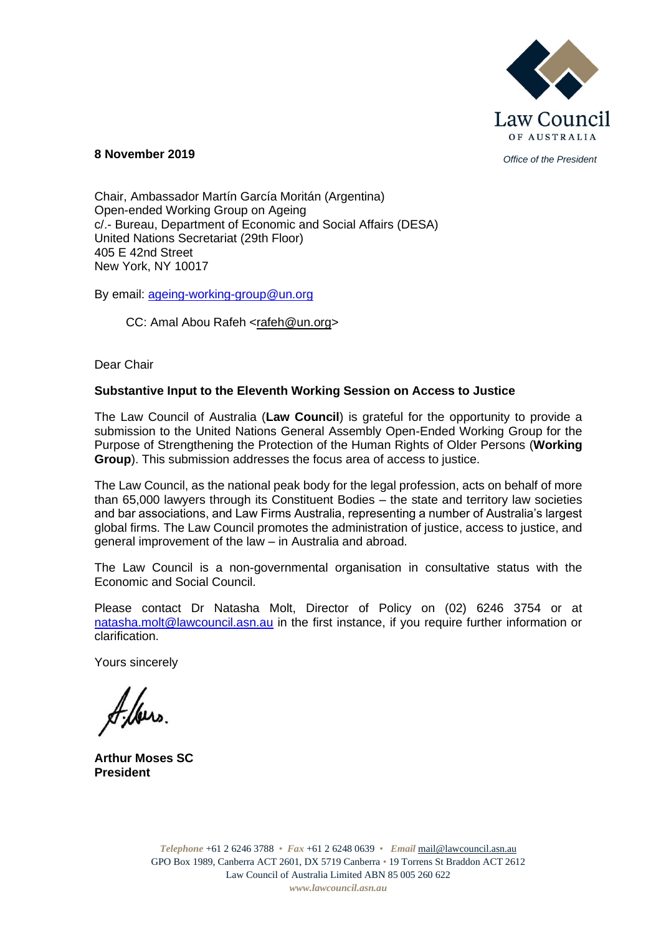

## *Office of the President* **8 November 2019**

Chair, Ambassador Martín García Moritán (Argentina) Open-ended Working Group on Ageing c/.- Bureau, Department of Economic and Social Affairs (DESA) United Nations Secretariat (29th Floor) 405 E 42nd Street New York, NY 10017

By email: [ageing-working-group@un.org](mailto:ageing-working-group@un.org)

## CC: Amal Abou Rafeh [<rafeh@un.org>](mailto:rafeh@un.org)

Dear Chair

## **Substantive Input to the Eleventh Working Session on Access to Justice**

The Law Council of Australia (**Law Council**) is grateful for the opportunity to provide a submission to the United Nations General Assembly Open-Ended Working Group for the Purpose of Strengthening the Protection of the Human Rights of Older Persons (**Working Group**). This submission addresses the focus area of access to justice.

The Law Council, as the national peak body for the legal profession, acts on behalf of more than 65,000 lawyers through its Constituent Bodies – the state and territory law societies and bar associations, and Law Firms Australia, representing a number of Australia's largest global firms. The Law Council promotes the administration of justice, access to justice, and general improvement of the law – in Australia and abroad.

The Law Council is a non-governmental organisation in consultative status with the Economic and Social Council.

Please contact Dr Natasha Molt, Director of Policy on (02) 6246 3754 or at [natasha.molt@lawcouncil.asn.au](mailto:natasha.molt@lawcouncil.asn.au) in the first instance, if you require further information or clarification.

Yours sincerely

**Arthur Moses SC President**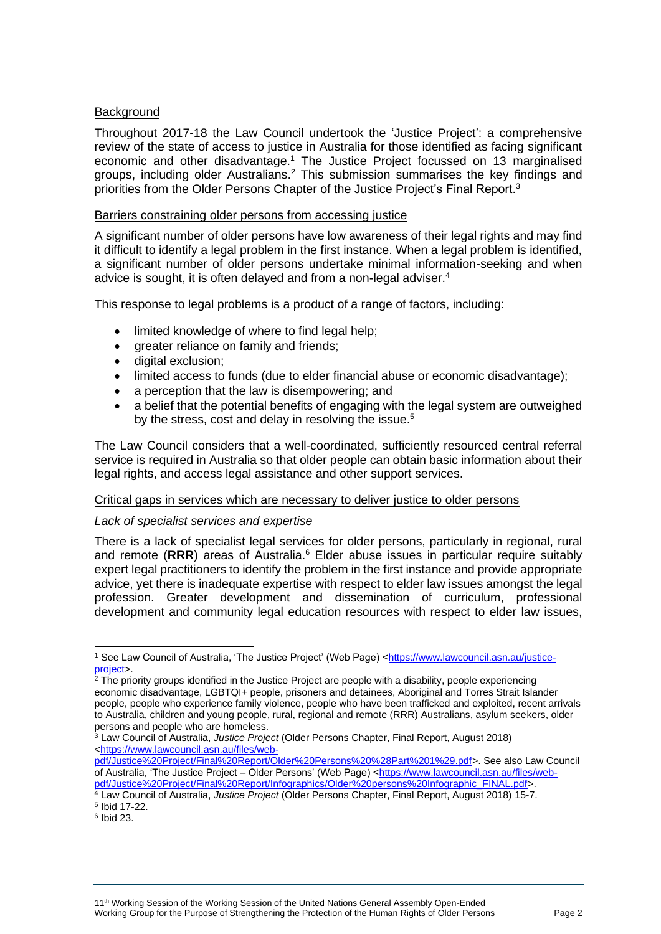## **Background**

Throughout 2017-18 the Law Council undertook the 'Justice Project': a comprehensive review of the state of access to justice in Australia for those identified as facing significant economic and other disadvantage.<sup>1</sup> The Justice Project focussed on 13 marginalised groups, including older Australians.<sup>2</sup> This submission summarises the key findings and priorities from the Older Persons Chapter of the Justice Project's Final Report.<sup>3</sup>

#### Barriers constraining older persons from accessing justice

A significant number of older persons have low awareness of their legal rights and may find it difficult to identify a legal problem in the first instance. When a legal problem is identified, a significant number of older persons undertake minimal information-seeking and when advice is sought, it is often delayed and from a non-legal adviser.<sup>4</sup>

This response to legal problems is a product of a range of factors, including:

- limited knowledge of where to find legal help;
- greater reliance on family and friends:
- digital exclusion:
- limited access to funds (due to elder financial abuse or economic disadvantage);
- a perception that the law is disempowering; and
- a belief that the potential benefits of engaging with the legal system are outweighed by the stress, cost and delay in resolving the issue.<sup>5</sup>

The Law Council considers that a well-coordinated, sufficiently resourced central referral service is required in Australia so that older people can obtain basic information about their legal rights, and access legal assistance and other support services.

## Critical gaps in services which are necessary to deliver justice to older persons

## *Lack of specialist services and expertise*

There is a lack of specialist legal services for older persons, particularly in regional, rural and remote (**RRR**) areas of Australia. <sup>6</sup> Elder abuse issues in particular require suitably expert legal practitioners to identify the problem in the first instance and provide appropriate advice, yet there is inadequate expertise with respect to elder law issues amongst the legal profession. Greater development and dissemination of curriculum, professional development and community legal education resources with respect to elder law issues,

<sup>1</sup> See Law Council of Australia, 'The Justice Project' (Web Page) [<https://www.lawcouncil.asn.au/justice](https://www.lawcouncil.asn.au/justice-project)[project>](https://www.lawcouncil.asn.au/justice-project).

 $2$  The priority groups identified in the Justice Project are people with a disability, people experiencing economic disadvantage, LGBTQI+ people, prisoners and detainees, Aboriginal and Torres Strait Islander people, people who experience family violence, people who have been trafficked and exploited, recent arrivals to Australia, children and young people, rural, regional and remote (RRR) Australians, asylum seekers, older persons and people who are homeless.

<sup>3</sup> Law Council of Australia, *Justice Project* (Older Persons Chapter, Final Report, August 2018) [<https://www.lawcouncil.asn.au/files/web-](https://www.lawcouncil.asn.au/files/web-pdf/Justice%20Project/Final%20Report/Older%20Persons%20%28Part%201%29.pdf)

[pdf/Justice%20Project/Final%20Report/Older%20Persons%20%28Part%201%29.pdf>](https://www.lawcouncil.asn.au/files/web-pdf/Justice%20Project/Final%20Report/Older%20Persons%20%28Part%201%29.pdf). See also Law Council of Australia, 'The Justice Project – Older Persons' (Web Page) [<https://www.lawcouncil.asn.au/files/web](https://www.lawcouncil.asn.au/files/web-pdf/Justice%20Project/Final%20Report/Infographics/Older%20persons%20Infographic_FINAL.pdf)[pdf/Justice%20Project/Final%20Report/Infographics/Older%20persons%20Infographic\\_FINAL.pdf>](https://www.lawcouncil.asn.au/files/web-pdf/Justice%20Project/Final%20Report/Infographics/Older%20persons%20Infographic_FINAL.pdf).

<sup>4</sup> Law Council of Australia, *Justice Project* (Older Persons Chapter, Final Report, August 2018) 15-7. 5 Ibid 17-22.

<sup>6</sup> Ibid 23.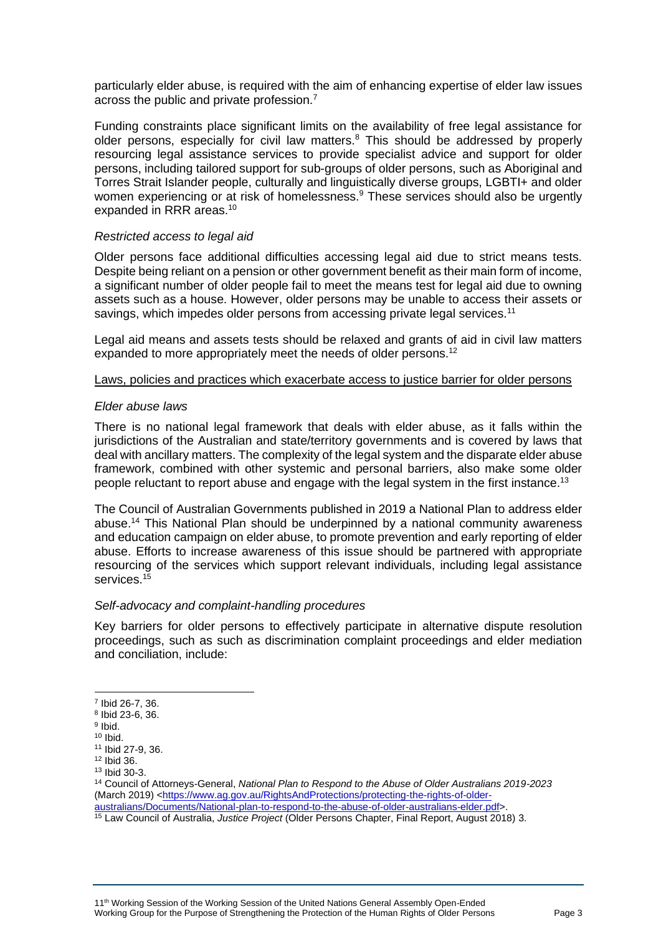particularly elder abuse, is required with the aim of enhancing expertise of elder law issues across the public and private profession.<sup>7</sup>

Funding constraints place significant limits on the availability of free legal assistance for older persons, especially for civil law matters.<sup>8</sup> This should be addressed by properly resourcing legal assistance services to provide specialist advice and support for older persons, including tailored support for sub-groups of older persons, such as Aboriginal and Torres Strait Islander people, culturally and linguistically diverse groups, LGBTI+ and older women experiencing or at risk of homelessness.<sup>9</sup> These services should also be urgently expanded in RRR areas.<sup>10</sup>

#### *Restricted access to legal aid*

Older persons face additional difficulties accessing legal aid due to strict means tests. Despite being reliant on a pension or other government benefit as their main form of income, a significant number of older people fail to meet the means test for legal aid due to owning assets such as a house. However, older persons may be unable to access their assets or savings, which impedes older persons from accessing private legal services.<sup>11</sup>

Legal aid means and assets tests should be relaxed and grants of aid in civil law matters expanded to more appropriately meet the needs of older persons.<sup>12</sup>

#### Laws, policies and practices which exacerbate access to justice barrier for older persons

#### *Elder abuse laws*

There is no national legal framework that deals with elder abuse, as it falls within the jurisdictions of the Australian and state/territory governments and is covered by laws that deal with ancillary matters. The complexity of the legal system and the disparate elder abuse framework, combined with other systemic and personal barriers, also make some older people reluctant to report abuse and engage with the legal system in the first instance.<sup>13</sup>

The Council of Australian Governments published in 2019 a National Plan to address elder abuse.<sup>14</sup> This National Plan should be underpinned by a national community awareness and education campaign on elder abuse, to promote prevention and early reporting of elder abuse. Efforts to increase awareness of this issue should be partnered with appropriate resourcing of the services which support relevant individuals, including legal assistance services.<sup>15</sup>

#### *Self-advocacy and complaint-handling procedures*

Key barriers for older persons to effectively participate in alternative dispute resolution proceedings, such as such as discrimination complaint proceedings and elder mediation and conciliation, include:

<sup>14</sup> Council of Attorneys-General, *National Plan to Respond to the Abuse of Older Australians 2019-2023*  (March 2019) [<https://www.ag.gov.au/RightsAndProtections/protecting-the-rights-of-older](https://www.ag.gov.au/RightsAndProtections/protecting-the-rights-of-older-australians/Documents/National-plan-to-respond-to-the-abuse-of-older-australians-elder.pdf)[australians/Documents/National-plan-to-respond-to-the-abuse-of-older-australians-elder.pdf>](https://www.ag.gov.au/RightsAndProtections/protecting-the-rights-of-older-australians/Documents/National-plan-to-respond-to-the-abuse-of-older-australians-elder.pdf).

<sup>7</sup> Ibid 26-7, 36.

<sup>8</sup> Ibid 23-6, 36.

<sup>&</sup>lt;sup>9</sup> Ibid.

 $10$  Ibid.

<sup>11</sup> Ibid 27-9, 36. <sup>12</sup> Ibid 36.

<sup>13</sup> Ibid 30-3.

<sup>15</sup> Law Council of Australia, *Justice Project* (Older Persons Chapter, Final Report, August 2018) 3.